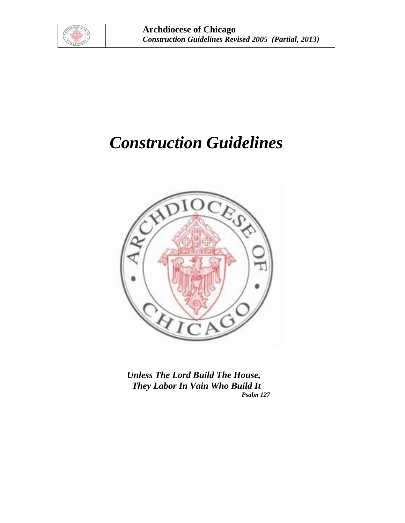

# *Construction Guidelines*



 *Unless The Lord Build The House, They Labor In Vain Who Build It Psalm 127*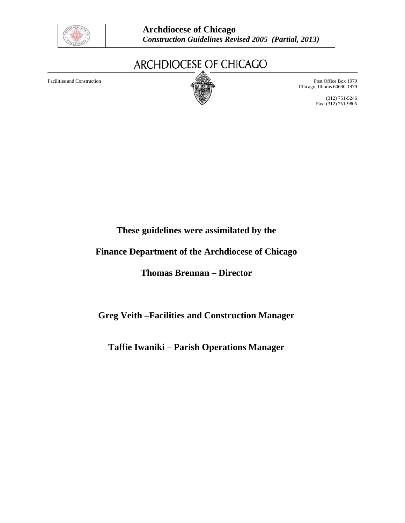

## ARCHDIOCESE OF CHICAGO



Facilities and Construction **Post Office Box 1979** Post Office Box 1979 Chicago, Illinois 60690-1979

> (312) 751-5246 Fax: (312) 751-9805

## **These guidelines were assimilated by the**

## **Finance Department of the Archdiocese of Chicago**

## **Thomas Brennan – Director**

## **Greg Veith –Facilities and Construction Manager**

## **Taffie Iwaniki – Parish Operations Manager**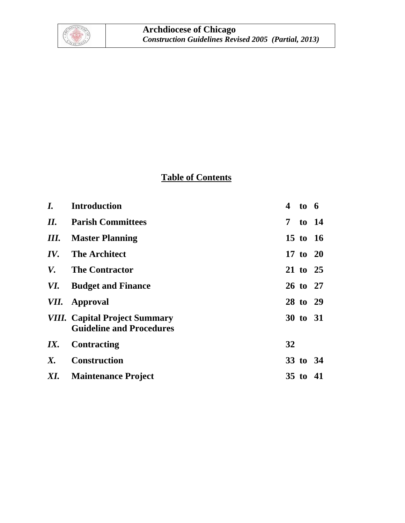

## **Table of Contents**

| I.  | <b>Introduction</b>                                                     | 4  | to 6     |  |
|-----|-------------------------------------------------------------------------|----|----------|--|
| II. | <b>Parish Committees</b>                                                |    | 7 to 14  |  |
| Ш.  | <b>Master Planning</b>                                                  |    | 15 to 16 |  |
| IV. | <b>The Architect</b>                                                    |    | 17 to 20 |  |
| V.  | <b>The Contractor</b>                                                   |    | 21 to 25 |  |
| VI. | <b>Budget and Finance</b>                                               |    | 26 to 27 |  |
|     | <i>VII.</i> Approval                                                    |    | 28 to 29 |  |
|     | <b>VIII.</b> Capital Project Summary<br><b>Guideline and Procedures</b> |    | 30 to 31 |  |
| IX. | <b>Contracting</b>                                                      | 32 |          |  |
| X.  | <b>Construction</b>                                                     |    | 33 to 34 |  |
|     | XI. Maintenance Project                                                 |    | 35 to 41 |  |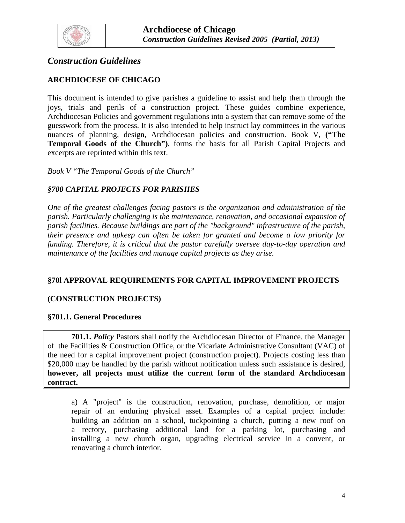<span id="page-3-0"></span>

## *Construction Guidelines*

## **ARCHDIOCESE OF CHICAGO**

This document is intended to give parishes a guideline to assist and help them through the joys, trials and perils of a construction project. These guides combine experience, Archdiocesan Policies and government regulations into a system that can remove some of the guesswork from the process. It is also intended to help instruct lay committees in the various nuances of planning, design, Archdiocesan policies and construction. Book V, **("The Temporal Goods of the Church")**, forms the basis for all Parish Capital Projects and excerpts are reprinted within this text.

*Book V "The Temporal Goods of the Church"* 

## *§700 CAPITAL PROJECTS FOR PARISHES*

*One of the greatest challenges facing pastors is the organization and administration of the parish. Particularly challenging is the maintenance, renovation, and occasional expansion of parish facilities. Because buildings are part of the "background" infrastructure of the parish, their presence and upkeep can often be taken for granted and become a low priority for funding. Therefore, it is critical that the pastor carefully oversee day-to-day operation and maintenance of the facilities and manage capital projects as they arise.* 

## **§70l APPROVAL REQUIREMENTS FOR CAPITAL IMPROVEMENT PROJECTS**

## **(CONSTRUCTION PROJECTS)**

#### **§701.1. General Procedures**

**701.1.** *Policy* Pastors shall notify the Archdiocesan Director of Finance, the Manager of the Facilities & Construction Office, or the Vicariate Administrative Consultant (VAC) of the need for a capital improvement project (construction project). Projects costing less than \$20,000 may be handled by the parish without notification unless such assistance is desired, **however, all projects must utilize the current form of the standard Archdiocesan contract.** 

 a) A "project" is the construction, renovation, purchase, demolition, or major repair of an enduring physical asset. Examples of a capital project include: building an addition on a school, tuckpointing a church, putting a new roof on a rectory, purchasing additional land for a parking lot, purchasing and installing a new church organ, upgrading electrical service in a convent, or renovating a church interior.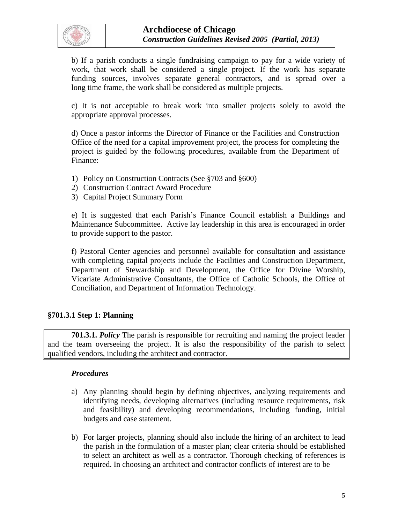

 b) If a parish conducts a single fundraising campaign to pay for a wide variety of work, that work shall be considered a single project. If the work has separate funding sources, involves separate general contractors, and is spread over a long time frame, the work shall be considered as multiple projects.

c) It is not acceptable to break work into smaller projects solely to avoid the appropriate approval processes.

 d) Once a pastor informs the Director of Finance or the Facilities and Construction Office of the need for a capital improvement project, the process for completing the project is guided by the following procedures, available from the Department of Finance:

- 1) Policy on Construction Contracts (See §703 and §600)
- 2) Construction Contract Award Procedure
- 3) Capital Project Summary Form

e) It is suggested that each Parish's Finance Council establish a Buildings and Maintenance Subcommittee. Active lay leadership in this area is encouraged in order to provide support to the pastor.

f) Pastoral Center agencies and personnel available for consultation and assistance with completing capital projects include the Facilities and Construction Department, Department of Stewardship and Development, the Office for Divine Worship, Vicariate Administrative Consultants, the Office of Catholic Schools, the Office of Conciliation, and Department of Information Technology.

## **§701.3.1 Step 1: Planning**

**701.3.1.** *Policy* The parish is responsible for recruiting and naming the project leader and the team overseeing the project. It is also the responsibility of the parish to select qualified vendors, including the architect and contractor.

- a) Any planning should begin by defining objectives, analyzing requirements and identifying needs, developing alternatives (including resource requirements, risk and feasibility) and developing recommendations, including funding, initial budgets and case statement.
- b) For larger projects, planning should also include the hiring of an architect to lead the parish in the formulation of a master plan; clear criteria should be established to select an architect as well as a contractor. Thorough checking of references is required. In choosing an architect and contractor conflicts of interest are to be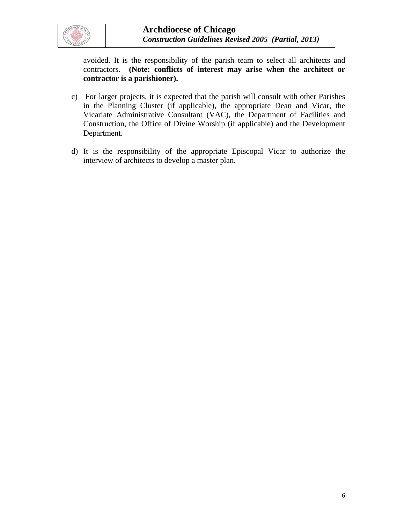

avoided. It is the responsibility of the parish team to select all architects and contractors. **(Note: conflicts of interest may arise when the architect or contractor is a parishioner).** 

- c) For larger projects, it is expected that the parish will consult with other Parishes in the Planning Cluster (if applicable), the appropriate Dean and Vicar, the Vicariate Administrative Consultant (VAC), the Department of Facilities and Construction, the Office of Divine Worship (if applicable) and the Development Department.
- d) It is the responsibility of the appropriate Episcopal Vicar to authorize the interview of architects to develop a master plan.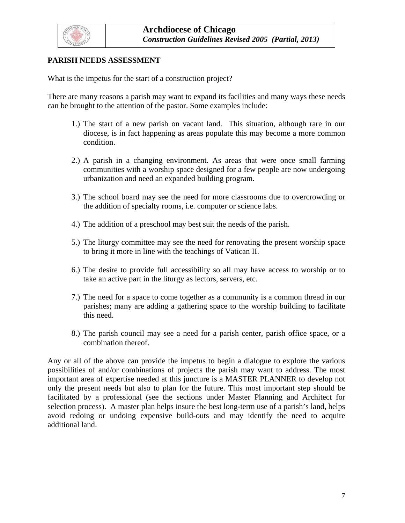<span id="page-6-0"></span>

## **PARISH NEEDS ASSESSMENT**

What is the impetus for the start of a construction project?

There are many reasons a parish may want to expand its facilities and many ways these needs can be brought to the attention of the pastor. Some examples include:

- 1.) The start of a new parish on vacant land. This situation, although rare in our diocese, is in fact happening as areas populate this may become a more common condition.
- 2.) A parish in a changing environment. As areas that were once small farming communities with a worship space designed for a few people are now undergoing urbanization and need an expanded building program.
- 3.) The school board may see the need for more classrooms due to overcrowding or the addition of specialty rooms, i.e. computer or science labs.
- 4.) The addition of a preschool may best suit the needs of the parish.
- 5.) The liturgy committee may see the need for renovating the present worship space to bring it more in line with the teachings of Vatican II.
- 6.) The desire to provide full accessibility so all may have access to worship or to take an active part in the liturgy as lectors, servers, etc.
- 7.) The need for a space to come together as a community is a common thread in our parishes; many are adding a gathering space to the worship building to facilitate this need.
- 8.) The parish council may see a need for a parish center, parish office space, or a combination thereof.

Any or all of the above can provide the impetus to begin a dialogue to explore the various possibilities of and/or combinations of projects the parish may want to address. The most important area of expertise needed at this juncture is a MASTER PLANNER to develop not only the present needs but also to plan for the future. This most important step should be facilitated by a professional (see the sections under Master Planning and Architect for selection process). A master plan helps insure the best long-term use of a parish's land, helps avoid redoing or undoing expensive build-outs and may identify the need to acquire additional land.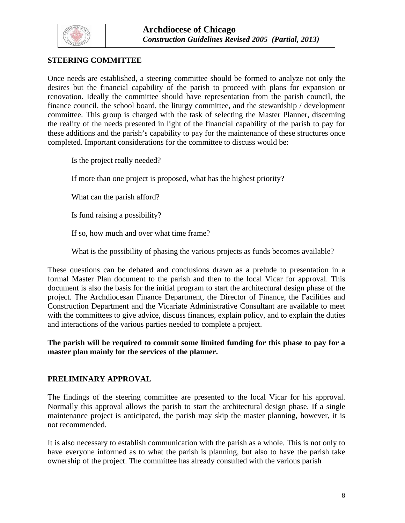

## **STEERING COMMITTEE**

Once needs are established, a steering committee should be formed to analyze not only the desires but the financial capability of the parish to proceed with plans for expansion or renovation. Ideally the committee should have representation from the parish council, the finance council, the school board, the liturgy committee, and the stewardship / development committee. This group is charged with the task of selecting the Master Planner, discerning the reality of the needs presented in light of the financial capability of the parish to pay for these additions and the parish's capability to pay for the maintenance of these structures once completed. Important considerations for the committee to discuss would be:

Is the project really needed?

If more than one project is proposed, what has the highest priority?

What can the parish afford?

Is fund raising a possibility?

If so, how much and over what time frame?

What is the possibility of phasing the various projects as funds becomes available?

These questions can be debated and conclusions drawn as a prelude to presentation in a formal Master Plan document to the parish and then to the local Vicar for approval. This document is also the basis for the initial program to start the architectural design phase of the project. The Archdiocesan Finance Department, the Director of Finance, the Facilities and Construction Department and the Vicariate Administrative Consultant are available to meet with the committees to give advice, discuss finances, explain policy, and to explain the duties and interactions of the various parties needed to complete a project.

**The parish will be required to commit some limited funding for this phase to pay for a master plan mainly for the services of the planner.** 

#### **PRELIMINARY APPROVAL**

The findings of the steering committee are presented to the local Vicar for his approval. Normally this approval allows the parish to start the architectural design phase. If a single maintenance project is anticipated, the parish may skip the master planning, however, it is not recommended.

It is also necessary to establish communication with the parish as a whole. This is not only to have everyone informed as to what the parish is planning, but also to have the parish take ownership of the project. The committee has already consulted with the various parish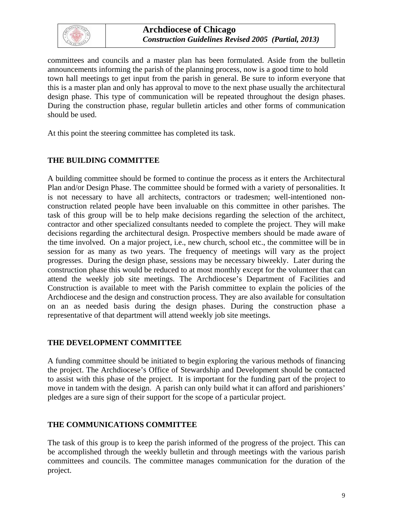

committees and councils and a master plan has been formulated. Aside from the bulletin announcements informing the parish of the planning process, now is a good time to hold town hall meetings to get input from the parish in general. Be sure to inform everyone that this is a master plan and only has approval to move to the next phase usually the architectural design phase. This type of communication will be repeated throughout the design phases. During the construction phase, regular bulletin articles and other forms of communication should be used.

At this point the steering committee has completed its task.

## **THE BUILDING COMMITTEE**

A building committee should be formed to continue the process as it enters the Architectural Plan and/or Design Phase. The committee should be formed with a variety of personalities. It is not necessary to have all architects, contractors or tradesmen; well-intentioned nonconstruction related people have been invaluable on this committee in other parishes. The task of this group will be to help make decisions regarding the selection of the architect, contractor and other specialized consultants needed to complete the project. They will make decisions regarding the architectural design. Prospective members should be made aware of the time involved. On a major project, i.e., new church, school etc., the committee will be in session for as many as two years. The frequency of meetings will vary as the project progresses. During the design phase, sessions may be necessary biweekly. Later during the construction phase this would be reduced to at most monthly except for the volunteer that can attend the weekly job site meetings. The Archdiocese's Department of Facilities and Construction is available to meet with the Parish committee to explain the policies of the Archdiocese and the design and construction process. They are also available for consultation on an as needed basis during the design phases. During the construction phase a representative of that department will attend weekly job site meetings.

## **THE DEVELOPMENT COMMITTEE**

A funding committee should be initiated to begin exploring the various methods of financing the project. The Archdiocese's Office of Stewardship and Development should be contacted to assist with this phase of the project. It is important for the funding part of the project to move in tandem with the design. A parish can only build what it can afford and parishioners' pledges are a sure sign of their support for the scope of a particular project.

## **THE COMMUNICATIONS COMMITTEE**

The task of this group is to keep the parish informed of the progress of the project. This can be accomplished through the weekly bulletin and through meetings with the various parish committees and councils. The committee manages communication for the duration of the project.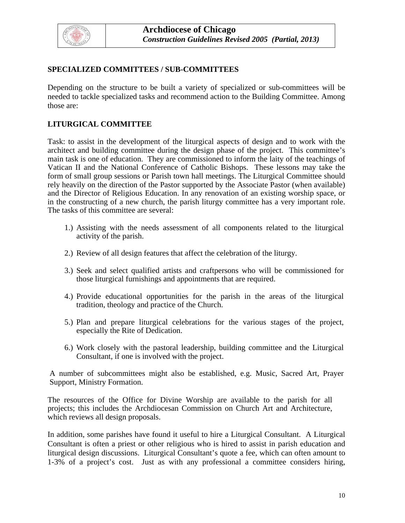

## **SPECIALIZED COMMITTEES / SUB-COMMITTEES**

Depending on the structure to be built a variety of specialized or sub-committees will be needed to tackle specialized tasks and recommend action to the Building Committee. Among those are:

#### **LITURGICAL COMMITTEE**

Task: to assist in the development of the liturgical aspects of design and to work with the architect and building committee during the design phase of the project. This committee's main task is one of education. They are commissioned to inform the laity of the teachings of Vatican II and the National Conference of Catholic Bishops. These lessons may take the form of small group sessions or Parish town hall meetings. The Liturgical Committee should rely heavily on the direction of the Pastor supported by the Associate Pastor (when available) and the Director of Religious Education. In any renovation of an existing worship space, or in the constructing of a new church, the parish liturgy committee has a very important role. The tasks of this committee are several:

- 1.) Assisting with the needs assessment of all components related to the liturgical activity of the parish.
- 2.) Review of all design features that affect the celebration of the liturgy.
- 3.) Seek and select qualified artists and craftpersons who will be commissioned for those liturgical furnishings and appointments that are required.
- 4.) Provide educational opportunities for the parish in the areas of the liturgical tradition, theology and practice of the Church.
- 5.) Plan and prepare liturgical celebrations for the various stages of the project, especially the Rite of Dedication.
- 6.) Work closely with the pastoral leadership, building committee and the Liturgical Consultant, if one is involved with the project.

A number of subcommittees might also be established, e.g. Music, Sacred Art, Prayer Support, Ministry Formation.

The resources of the Office for Divine Worship are available to the parish for all projects; this includes the Archdiocesan Commission on Church Art and Architecture, which reviews all design proposals.

In addition, some parishes have found it useful to hire a Liturgical Consultant. A Liturgical Consultant is often a priest or other religious who is hired to assist in parish education and liturgical design discussions. Liturgical Consultant's quote a fee, which can often amount to 1-3% of a project's cost. Just as with any professional a committee considers hiring,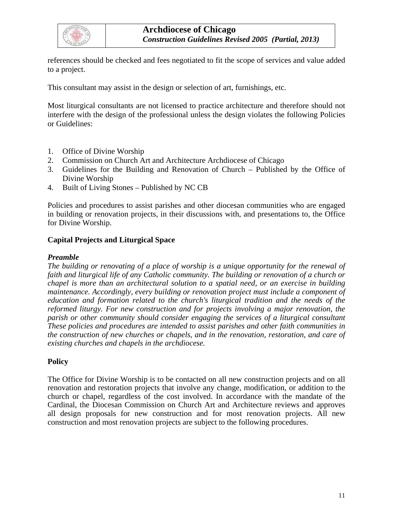

references should be checked and fees negotiated to fit the scope of services and value added to a project.

This consultant may assist in the design or selection of art, furnishings, etc.

Most liturgical consultants are not licensed to practice architecture and therefore should not interfere with the design of the professional unless the design violates the following Policies or Guidelines:

- 1. Office of Divine Worship
- 2. Commission on Church Art and Architecture Archdiocese of Chicago
- 3. Guidelines for the Building and Renovation of Church Published by the Office of Divine Worship
- 4. Built of Living Stones Published by NC CB

Policies and procedures to assist parishes and other diocesan communities who are engaged in building or renovation projects, in their discussions with, and presentations to, the Office for Divine Worship.

#### **Capital Projects and Liturgical Space**

#### *Preamble*

*The building or renovating of a place of worship is a unique opportunity for the renewal of faith and liturgical life of any Catholic community. The building or renovation of a church or chapel is more than an architectural solution to a spatial need, or an exercise in building maintenance. Accordingly, every building or renovation project must include a component of education and formation related to the church's liturgical tradition and the needs of the reformed liturgy. For new construction and for projects involving a major renovation, the parish or other community should consider engaging the services of a liturgical consultant These policies and procedures are intended to assist parishes and other faith communities in the construction of new churches or chapels, and in the renovation, restoration, and care of existing churches and chapels in the archdiocese.* 

## **Policy**

The Office for Divine Worship is to be contacted on all new construction projects and on all renovation and restoration projects that involve any change, modification, or addition to the church or chapel, regardless of the cost involved. In accordance with the mandate of the Cardinal, the Diocesan Commission on Church Art and Architecture reviews and approves all design proposals for new construction and for most renovation projects. All new construction and most renovation projects are subject to the following procedures.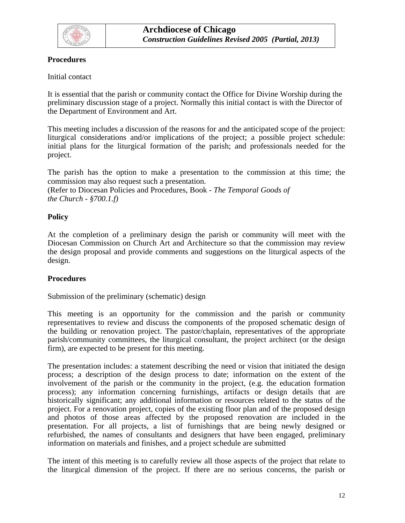

## **Procedures**

## Initial contact

It is essential that the parish or community contact the Office for Divine Worship during the preliminary discussion stage of a project. Normally this initial contact is with the Director of the Department of Environment and Art.

This meeting includes a discussion of the reasons for and the anticipated scope of the project: liturgical considerations and/or implications of the project; a possible project schedule: initial plans for the liturgical formation of the parish; and professionals needed for the project.

The parish has the option to make a presentation to the commission at this time; the commission may also request such a presentation.

(Refer to Diocesan Policies and Procedures, Book *- The Temporal Goods of the Church - §700.1.f)* 

## **Policy**

At the completion of a preliminary design the parish or community will meet with the Diocesan Commission on Church Art and Architecture so that the commission may review the design proposal and provide comments and suggestions on the liturgical aspects of the design.

#### **Procedures**

Submission of the preliminary (schematic) design

This meeting is an opportunity for the commission and the parish or community representatives to review and discuss the components of the proposed schematic design of the building or renovation project. The pastor/chaplain, representatives of the appropriate parish/community committees, the liturgical consultant, the project architect (or the design firm), are expected to be present for this meeting.

The presentation includes: a statement describing the need or vision that initiated the design process; a description of the design process to date; information on the extent of the involvement of the parish or the community in the project, (e.g. the education formation process); any information concerning furnishings, artifacts or design details that are historically significant; any additional information or resources related to the status of the project. For a renovation project, copies of the existing floor plan and of the proposed design and photos of those areas affected by the proposed renovation are included in the presentation. For all projects, a list of furnishings that are being newly designed or refurbished, the names of consultants and designers that have been engaged, preliminary information on materials and finishes, and a project schedule are submitted

The intent of this meeting is to carefully review all those aspects of the project that relate to the liturgical dimension of the project. If there are no serious concerns, the parish or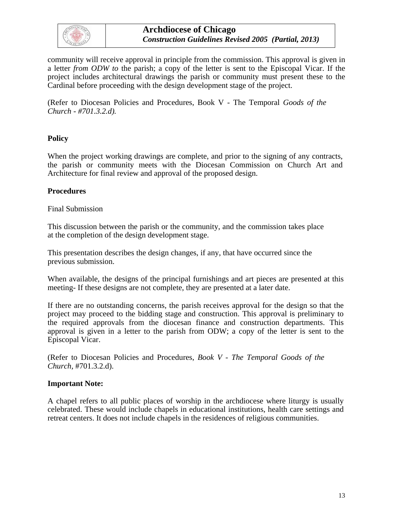

**Archdiocese of Chicago**  *Construction Guidelines Revised 2005 (Partial, 2013)* 

community will receive approval in principle from the commission. This approval is given in a letter *from ODW to* the parish; a copy of the letter is sent to the Episcopal Vicar. If the project includes architectural drawings the parish or community must present these to the Cardinal before proceeding with the design development stage of the project.

(Refer to Diocesan Policies and Procedures, Book V - The Temporal *Goods of the Church - #701.3.2.d).* 

#### **Policy**

When the project working drawings are complete, and prior to the signing of any contracts, the parish or community meets with the Diocesan Commission on Church Art and Architecture for final review and approval of the proposed design.

#### **Procedures**

#### Final Submission

This discussion between the parish or the community, and the commission takes place at the completion of the design development stage.

This presentation describes the design changes, if any, that have occurred since the previous submission.

When available, the designs of the principal furnishings and art pieces are presented at this meeting- If these designs are not complete, they are presented at a later date.

If there are no outstanding concerns, the parish receives approval for the design so that the project may proceed to the bidding stage and construction. This approval is preliminary to the required approvals from the diocesan finance and construction departments. This approval is given in a letter to the parish from ODW; a copy of the letter is sent to the Episcopal Vicar.

(Refer to Diocesan Policies and Procedures, *Book V - The Temporal Goods of the Church,* #701.3.2.d).

#### **Important Note:**

A chapel refers to all public places of worship in the archdiocese where liturgy is usually celebrated. These would include chapels in educational institutions, health care settings and retreat centers. It does not include chapels in the residences of religious communities.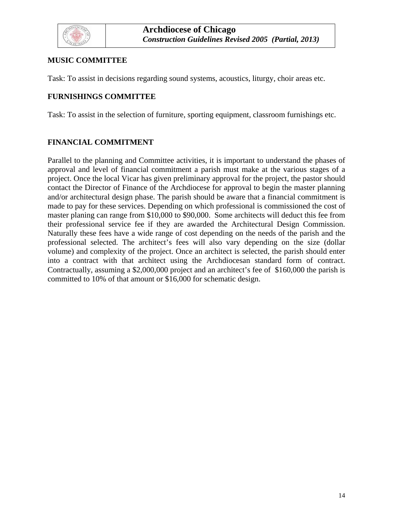

## **MUSIC COMMITTEE**

Task: To assist in decisions regarding sound systems, acoustics, liturgy, choir areas etc.

## **FURNISHINGS COMMITTEE**

Task: To assist in the selection of furniture, sporting equipment, classroom furnishings etc.

## **FINANCIAL COMMITMENT**

Parallel to the planning and Committee activities, it is important to understand the phases of approval and level of financial commitment a parish must make at the various stages of a project. Once the local Vicar has given preliminary approval for the project, the pastor should contact the Director of Finance of the Archdiocese for approval to begin the master planning and/or architectural design phase. The parish should be aware that a financial commitment is made to pay for these services. Depending on which professional is commissioned the cost of master planing can range from \$10,000 to \$90,000. Some architects will deduct this fee from their professional service fee if they are awarded the Architectural Design Commission. Naturally these fees have a wide range of cost depending on the needs of the parish and the professional selected. The architect's fees will also vary depending on the size (dollar volume) and complexity of the project. Once an architect is selected, the parish should enter into a contract with that architect using the Archdiocesan standard form of contract. Contractually, assuming a \$2,000,000 project and an architect's fee of \$160,000 the parish is committed to 10% of that amount or \$16,000 for schematic design.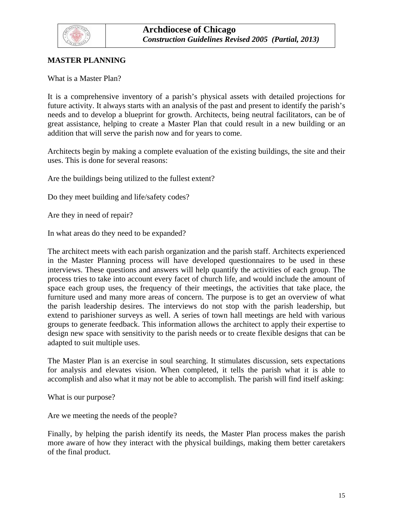<span id="page-14-0"></span>

## **MASTER PLANNING**

What is a Master Plan?

It is a comprehensive inventory of a parish's physical assets with detailed projections for future activity. It always starts with an analysis of the past and present to identify the parish's needs and to develop a blueprint for growth. Architects, being neutral facilitators, can be of great assistance, helping to create a Master Plan that could result in a new building or an addition that will serve the parish now and for years to come.

Architects begin by making a complete evaluation of the existing buildings, the site and their uses. This is done for several reasons:

Are the buildings being utilized to the fullest extent?

Do they meet building and life/safety codes?

Are they in need of repair?

In what areas do they need to be expanded?

The architect meets with each parish organization and the parish staff. Architects experienced in the Master Planning process will have developed questionnaires to be used in these interviews. These questions and answers will help quantify the activities of each group. The process tries to take into account every facet of church life, and would include the amount of space each group uses, the frequency of their meetings, the activities that take place, the furniture used and many more areas of concern. The purpose is to get an overview of what the parish leadership desires. The interviews do not stop with the parish leadership, but extend to parishioner surveys as well. A series of town hall meetings are held with various groups to generate feedback. This information allows the architect to apply their expertise to design new space with sensitivity to the parish needs or to create flexible designs that can be adapted to suit multiple uses.

The Master Plan is an exercise in soul searching. It stimulates discussion, sets expectations for analysis and elevates vision. When completed, it tells the parish what it is able to accomplish and also what it may not be able to accomplish. The parish will find itself asking:

What is our purpose?

Are we meeting the needs of the people?

Finally, by helping the parish identify its needs, the Master Plan process makes the parish more aware of how they interact with the physical buildings, making them better caretakers of the final product.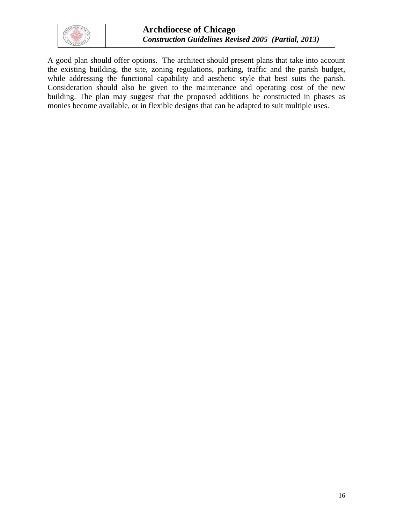

A good plan should offer options. The architect should present plans that take into account the existing building, the site, zoning regulations, parking, traffic and the parish budget, while addressing the functional capability and aesthetic style that best suits the parish. Consideration should also be given to the maintenance and operating cost of the new building. The plan may suggest that the proposed additions be constructed in phases as monies become available, or in flexible designs that can be adapted to suit multiple uses.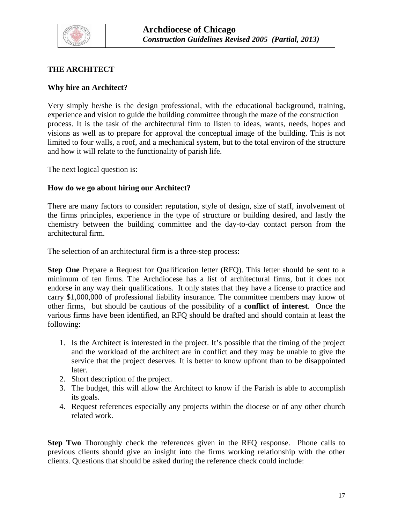<span id="page-16-0"></span>

## **THE ARCHITECT**

#### **Why hire an Architect?**

Very simply he/she is the design professional, with the educational background, training, experience and vision to guide the building committee through the maze of the construction process. It is the task of the architectural firm to listen to ideas, wants, needs, hopes and visions as well as to prepare for approval the conceptual image of the building. This is not limited to four walls, a roof, and a mechanical system, but to the total environ of the structure and how it will relate to the functionality of parish life.

The next logical question is:

#### **How do we go about hiring our Architect?**

There are many factors to consider: reputation, style of design, size of staff, involvement of the firms principles, experience in the type of structure or building desired, and lastly the chemistry between the building committee and the day-to-day contact person from the architectural firm.

The selection of an architectural firm is a three-step process:

**Step One** Prepare a Request for Qualification letter (RFQ). This letter should be sent to a minimum of ten firms. The Archdiocese has a list of architectural firms, but it does not endorse in any way their qualifications. It only states that they have a license to practice and carry \$1,000,000 of professional liability insurance. The committee members may know of other firms, but should be cautious of the possibility of a **conflict of interest**. Once the various firms have been identified, an RFQ should be drafted and should contain at least the following:

- 1. Is the Architect is interested in the project. It's possible that the timing of the project and the workload of the architect are in conflict and they may be unable to give the service that the project deserves. It is better to know upfront than to be disappointed later.
- 2. Short description of the project.
- 3. The budget, this will allow the Architect to know if the Parish is able to accomplish its goals.
- 4. Request references especially any projects within the diocese or of any other church related work.

**Step Two** Thoroughly check the references given in the RFQ response. Phone calls to previous clients should give an insight into the firms working relationship with the other clients. Questions that should be asked during the reference check could include: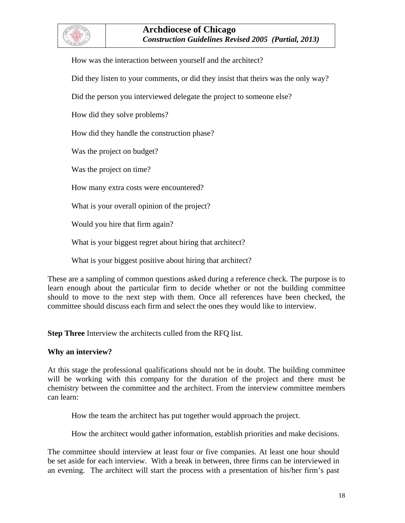

How was the interaction between yourself and the architect?

Did they listen to your comments, or did they insist that theirs was the only way?

Did the person you interviewed delegate the project to someone else?

How did they solve problems?

How did they handle the construction phase?

Was the project on budget?

Was the project on time?

How many extra costs were encountered?

What is your overall opinion of the project?

Would you hire that firm again?

What is your biggest regret about hiring that architect?

What is your biggest positive about hiring that architect?

These are a sampling of common questions asked during a reference check. The purpose is to learn enough about the particular firm to decide whether or not the building committee should to move to the next step with them. Once all references have been checked, the committee should discuss each firm and select the ones they would like to interview.

**Step Three** Interview the architects culled from the RFQ list.

#### **Why an interview?**

At this stage the professional qualifications should not be in doubt. The building committee will be working with this company for the duration of the project and there must be chemistry between the committee and the architect. From the interview committee members can learn:

How the team the architect has put together would approach the project.

How the architect would gather information, establish priorities and make decisions.

The committee should interview at least four or five companies. At least one hour should be set aside for each interview. With a break in between, three firms can be interviewed in an evening. The architect will start the process with a presentation of his/her firm's past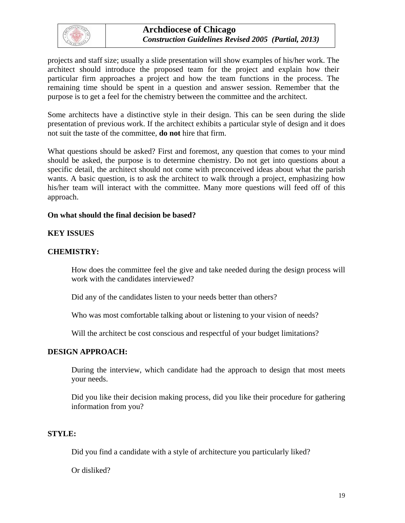

projects and staff size; usually a slide presentation will show examples of his/her work. The architect should introduce the proposed team for the project and explain how their particular firm approaches a project and how the team functions in the process. The remaining time should be spent in a question and answer session. Remember that the purpose is to get a feel for the chemistry between the committee and the architect.

Some architects have a distinctive style in their design. This can be seen during the slide presentation of previous work. If the architect exhibits a particular style of design and it does not suit the taste of the committee, **do not** hire that firm.

What questions should be asked? First and foremost, any question that comes to your mind should be asked, the purpose is to determine chemistry. Do not get into questions about a specific detail, the architect should not come with preconceived ideas about what the parish wants. A basic question, is to ask the architect to walk through a project, emphasizing how his/her team will interact with the committee. Many more questions will feed off of this approach.

#### **On what should the final decision be based?**

#### **KEY ISSUES**

#### **CHEMISTRY:**

How does the committee feel the give and take needed during the design process will work with the candidates interviewed?

Did any of the candidates listen to your needs better than others?

Who was most comfortable talking about or listening to your vision of needs?

Will the architect be cost conscious and respectful of your budget limitations?

## **DESIGN APPROACH:**

During the interview, which candidate had the approach to design that most meets your needs.

Did you like their decision making process, did you like their procedure for gathering information from you?

## **STYLE:**

Did you find a candidate with a style of architecture you particularly liked?

Or disliked?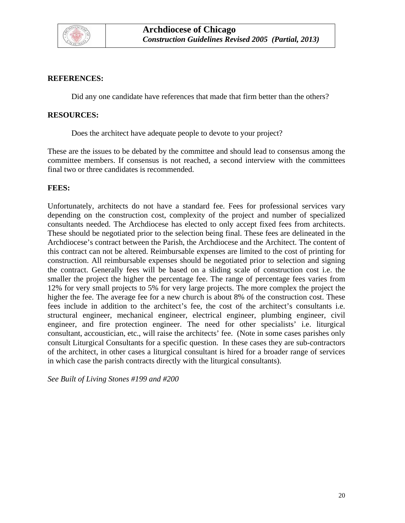

#### **REFERENCES:**

Did any one candidate have references that made that firm better than the others?

#### **RESOURCES:**

Does the architect have adequate people to devote to your project?

These are the issues to be debated by the committee and should lead to consensus among the committee members. If consensus is not reached, a second interview with the committees final two or three candidates is recommended.

#### **FEES:**

Unfortunately, architects do not have a standard fee. Fees for professional services vary depending on the construction cost, complexity of the project and number of specialized consultants needed. The Archdiocese has elected to only accept fixed fees from architects. These should be negotiated prior to the selection being final. These fees are delineated in the Archdiocese's contract between the Parish, the Archdiocese and the Architect. The content of this contract can not be altered. Reimbursable expenses are limited to the cost of printing for construction. All reimbursable expenses should be negotiated prior to selection and signing the contract. Generally fees will be based on a sliding scale of construction cost i.e. the smaller the project the higher the percentage fee. The range of percentage fees varies from 12% for very small projects to 5% for very large projects. The more complex the project the higher the fee. The average fee for a new church is about 8% of the construction cost. These fees include in addition to the architect's fee, the cost of the architect's consultants i.e. structural engineer, mechanical engineer, electrical engineer, plumbing engineer, civil engineer, and fire protection engineer. The need for other specialists' i.e. liturgical consultant, accoustician, etc., will raise the architects' fee. (Note in some cases parishes only consult Liturgical Consultants for a specific question. In these cases they are sub-contractors of the architect, in other cases a liturgical consultant is hired for a broader range of services in which case the parish contracts directly with the liturgical consultants).

*See Built of Living Stones #199 and #200*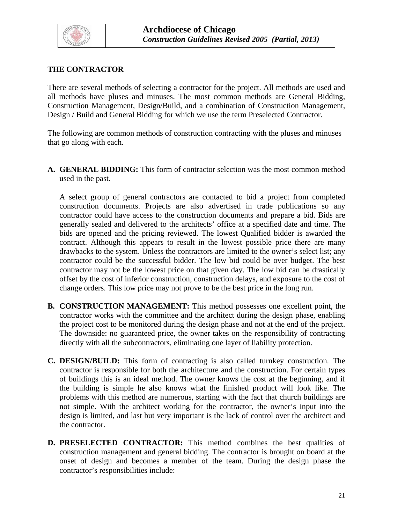<span id="page-20-0"></span>

## **THE CONTRACTOR**

There are several methods of selecting a contractor for the project. All methods are used and all methods have pluses and minuses. The most common methods are General Bidding, Construction Management, Design/Build, and a combination of Construction Management, Design / Build and General Bidding for which we use the term Preselected Contractor.

The following are common methods of construction contracting with the pluses and minuses that go along with each.

**A. GENERAL BIDDING:** This form of contractor selection was the most common method used in the past.

A select group of general contractors are contacted to bid a project from completed construction documents. Projects are also advertised in trade publications so any contractor could have access to the construction documents and prepare a bid. Bids are generally sealed and delivered to the architects' office at a specified date and time. The bids are opened and the pricing reviewed. The lowest Qualified bidder is awarded the contract. Although this appears to result in the lowest possible price there are many drawbacks to the system. Unless the contractors are limited to the owner's select list; any contractor could be the successful bidder. The low bid could be over budget. The best contractor may not be the lowest price on that given day. The low bid can be drastically offset by the cost of inferior construction, construction delays, and exposure to the cost of change orders. This low price may not prove to be the best price in the long run.

- **B. CONSTRUCTION MANAGEMENT:** This method possesses one excellent point, the contractor works with the committee and the architect during the design phase, enabling the project cost to be monitored during the design phase and not at the end of the project. The downside: no guaranteed price, the owner takes on the responsibility of contracting directly with all the subcontractors, eliminating one layer of liability protection.
- **C. DESIGN/BUILD:** This form of contracting is also called turnkey construction. The contractor is responsible for both the architecture and the construction. For certain types of buildings this is an ideal method. The owner knows the cost at the beginning, and if the building is simple he also knows what the finished product will look like. The problems with this method are numerous, starting with the fact that church buildings are not simple. With the architect working for the contractor, the owner's input into the design is limited, and last but very important is the lack of control over the architect and the contractor.
- **D. PRESELECTED CONTRACTOR:** This method combines the best qualities of construction management and general bidding. The contractor is brought on board at the onset of design and becomes a member of the team. During the design phase the contractor's responsibilities include: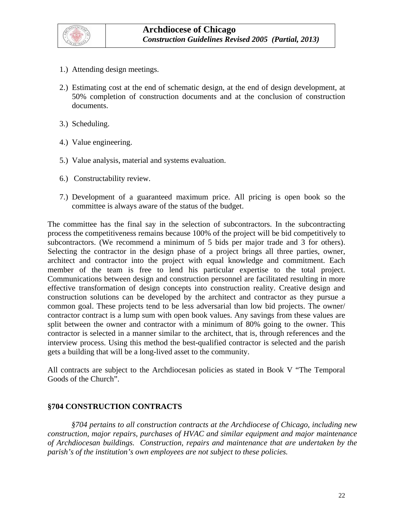

- 1.) Attending design meetings.
- 2.) Estimating cost at the end of schematic design, at the end of design development, at 50% completion of construction documents and at the conclusion of construction documents.
- 3.) Scheduling.
- 4.) Value engineering.
- 5.) Value analysis, material and systems evaluation.
- 6.) Constructability review.
- 7.) Development of a guaranteed maximum price. All pricing is open book so the committee is always aware of the status of the budget.

The committee has the final say in the selection of subcontractors. In the subcontracting process the competitiveness remains because 100% of the project will be bid competitively to subcontractors. (We recommend a minimum of 5 bids per major trade and 3 for others). Selecting the contractor in the design phase of a project brings all three parties, owner, architect and contractor into the project with equal knowledge and commitment. Each member of the team is free to lend his particular expertise to the total project. Communications between design and construction personnel are facilitated resulting in more effective transformation of design concepts into construction reality. Creative design and construction solutions can be developed by the architect and contractor as they pursue a common goal. These projects tend to be less adversarial than low bid projects. The owner/ contractor contract is a lump sum with open book values. Any savings from these values are split between the owner and contractor with a minimum of 80% going to the owner. This contractor is selected in a manner similar to the architect, that is, through references and the interview process. Using this method the best-qualified contractor is selected and the parish gets a building that will be a long-lived asset to the community.

All contracts are subject to the Archdiocesan policies as stated in Book V "The Temporal Goods of the Church".

#### **§704 CONSTRUCTION CONTRACTS**

*§704 pertains to all construction contracts at the Archdiocese of Chicago, including new construction, major repairs, purchases of HVAC and similar equipment and major maintenance of Archdiocesan buildings. Construction, repairs and maintenance that are undertaken by the parish's of the institution's own employees are not subject to these policies.*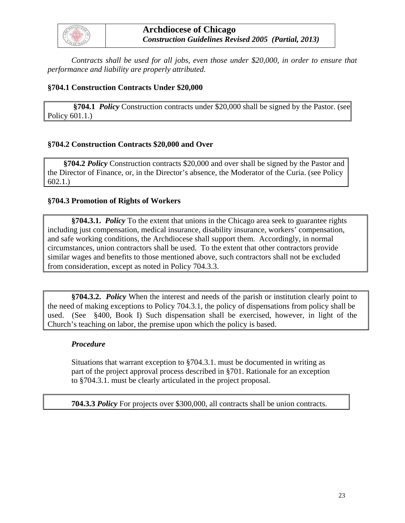

 *Contracts shall be used for all jobs, even those under \$20,000, in order to ensure that performance and liability are properly attributed.* 

#### **§704.1 Construction Contracts Under \$20,000**

 **§704.1** *Policy* Construction contracts under \$20,000 shall be signed by the Pastor. (see Policy 601.1.)

#### **§704.2 Construction Contracts \$20,000 and Over**

 **§704.2** *Policy* Construction contracts \$20,000 and over shall be signed by the Pastor and the Director of Finance, or, in the Director's absence, the Moderator of the Curia. (see Policy 602.1.)

#### **§704.3 Promotion of Rights of Workers**

**§704.3.1.** *Policy* To the extent that unions in the Chicago area seek to guarantee rights including just compensation, medical insurance, disability insurance, workers' compensation, and safe working conditions, the Archdiocese shall support them. Accordingly, in normal circumstances, union contractors shall be used. To the extent that other contractors provide similar wages and benefits to those mentioned above, such contractors shall not be excluded from consideration, except as noted in Policy 704.3.3.

**§704.3.2.** *Policy* When the interest and needs of the parish or institution clearly point to the need of making exceptions to Policy 704.3.1, the policy of dispensations from policy shall be used. (See §400, Book I) Such dispensation shall be exercised, however, in light of the Church's teaching on labor, the premise upon which the policy is based.

#### *Procedure*

Situations that warrant exception to §704.3.1. must be documented in writing as part of the project approval process described in §701. Rationale for an exception to §704.3.1. must be clearly articulated in the project proposal.

**704.3.3** *Policy* For projects over \$300,000, all contracts shall be union contracts.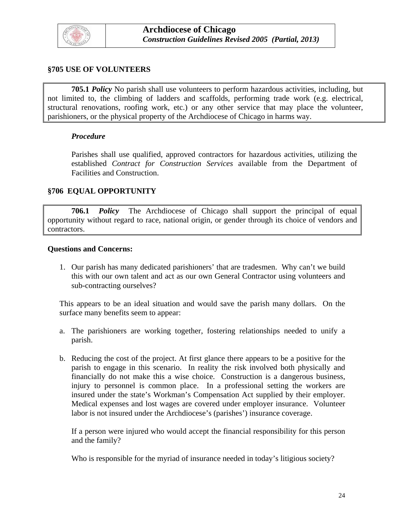

#### **§705 USE OF VOLUNTEERS**

**705.1** *Policy* No parish shall use volunteers to perform hazardous activities, including, but not limited to, the climbing of ladders and scaffolds, performing trade work (e.g. electrical, structural renovations, roofing work, etc.) or any other service that may place the volunteer, parishioners, or the physical property of the Archdiocese of Chicago in harms way.

#### *Procedure*

Parishes shall use qualified, approved contractors for hazardous activities, utilizing the established *Contract for Construction Services* available from the Department of Facilities and Construction.

#### **§706 EQUAL OPPORTUNITY**

 **706.1** *Policy* The Archdiocese of Chicago shall support the principal of equal opportunity without regard to race, national origin, or gender through its choice of vendors and contractors.

#### **Questions and Concerns:**

1. Our parish has many dedicated parishioners' that are tradesmen. Why can't we build this with our own talent and act as our own General Contractor using volunteers and sub-contracting ourselves?

This appears to be an ideal situation and would save the parish many dollars. On the surface many benefits seem to appear:

- a. The parishioners are working together, fostering relationships needed to unify a parish.
- b. Reducing the cost of the project. At first glance there appears to be a positive for the parish to engage in this scenario. In reality the risk involved both physically and financially do not make this a wise choice. Construction is a dangerous business, injury to personnel is common place. In a professional setting the workers are insured under the state's Workman's Compensation Act supplied by their employer. Medical expenses and lost wages are covered under employer insurance. Volunteer labor is not insured under the Archdiocese's (parishes') insurance coverage.

If a person were injured who would accept the financial responsibility for this person and the family?

Who is responsible for the myriad of insurance needed in today's litigious society?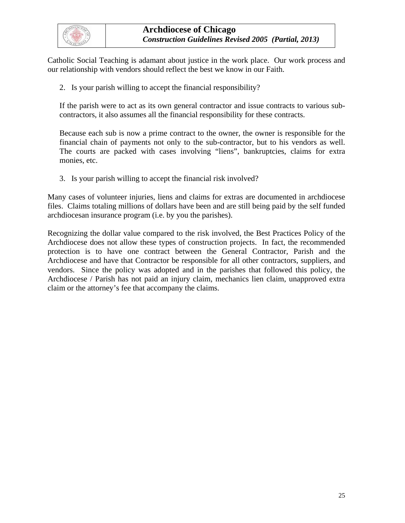

Catholic Social Teaching is adamant about justice in the work place. Our work process and our relationship with vendors should reflect the best we know in our Faith.

2. Is your parish willing to accept the financial responsibility?

If the parish were to act as its own general contractor and issue contracts to various subcontractors, it also assumes all the financial responsibility for these contracts.

Because each sub is now a prime contract to the owner, the owner is responsible for the financial chain of payments not only to the sub-contractor, but to his vendors as well. The courts are packed with cases involving "liens", bankruptcies, claims for extra monies, etc.

3. Is your parish willing to accept the financial risk involved?

Many cases of volunteer injuries, liens and claims for extras are documented in archdiocese files. Claims totaling millions of dollars have been and are still being paid by the self funded archdiocesan insurance program (i.e. by you the parishes).

Recognizing the dollar value compared to the risk involved, the Best Practices Policy of the Archdiocese does not allow these types of construction projects. In fact, the recommended protection is to have one contract between the General Contractor, Parish and the Archdiocese and have that Contractor be responsible for all other contractors, suppliers, and vendors. Since the policy was adopted and in the parishes that followed this policy, the Archdiocese / Parish has not paid an injury claim, mechanics lien claim, unapproved extra claim or the attorney's fee that accompany the claims.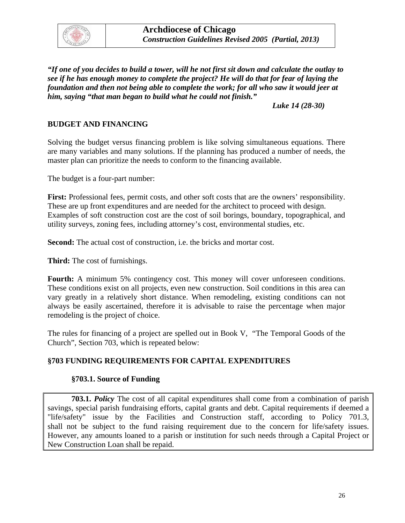<span id="page-25-0"></span>

*"If one of you decides to build a tower, will he not first sit down and calculate the outlay to see if he has enough money to complete the project? He will do that for fear of laying the foundation and then not being able to complete the work; for all who saw it would jeer at him, saying "that man began to build what he could not finish."* 

 *Luke 14 (28-30)* 

#### **BUDGET AND FINANCING**

Solving the budget versus financing problem is like solving simultaneous equations. There are many variables and many solutions. If the planning has produced a number of needs, the master plan can prioritize the needs to conform to the financing available.

The budget is a four-part number:

**First:** Professional fees, permit costs, and other soft costs that are the owners' responsibility. These are up front expenditures and are needed for the architect to proceed with design. Examples of soft construction cost are the cost of soil borings, boundary, topographical, and utility surveys, zoning fees, including attorney's cost, environmental studies, etc.

**Second:** The actual cost of construction, i.e. the bricks and mortar cost.

**Third:** The cost of furnishings.

Fourth: A minimum 5% contingency cost. This money will cover unforeseen conditions. These conditions exist on all projects, even new construction. Soil conditions in this area can vary greatly in a relatively short distance. When remodeling, existing conditions can not always be easily ascertained, therefore it is advisable to raise the percentage when major remodeling is the project of choice.

The rules for financing of a project are spelled out in Book V, "The Temporal Goods of the Church", Section 703, which is repeated below:

#### **§703 FUNDING REQUIREMENTS FOR CAPITAL EXPENDITURES**

#### **§703.1. Source of Funding**

**703.1.** *Policy* The cost of all capital expenditures shall come from a combination of parish savings, special parish fundraising efforts, capital grants and debt. Capital requirements if deemed a "life/safety" issue by the Facilities and Construction staff, according to Policy 701.3, shall not be subject to the fund raising requirement due to the concern for life/safety issues. However, any amounts loaned to a parish or institution for such needs through a Capital Project or New Construction Loan shall be repaid.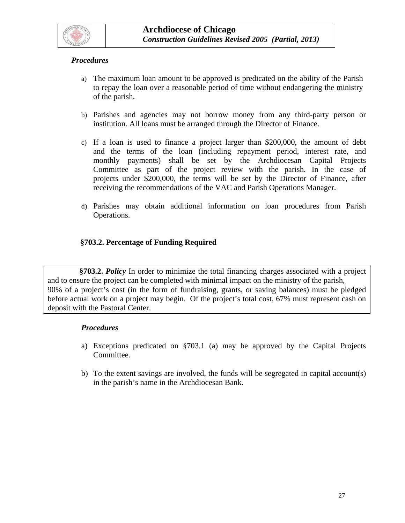

#### *Procedures*

- a) The maximum loan amount to be approved is predicated on the ability of the Parish to repay the loan over a reasonable period of time without endangering the ministry of the parish.
- b) Parishes and agencies may not borrow money from any third-party person or institution. All loans must be arranged through the Director of Finance.
- c) If a loan is used to finance a project larger than \$200,000, the amount of debt and the terms of the loan (including repayment period, interest rate, and monthly payments) shall be set by the Archdiocesan Capital Projects Committee as part of the project review with the parish. In the case of projects under \$200,000, the terms will be set by the Director of Finance, after receiving the recommendations of the VAC and Parish Operations Manager.
- d) Parishes may obtain additional information on loan procedures from Parish Operations.

## **§703.2. Percentage of Funding Required**

 **§703.2.** *Policy* In order to minimize the total financing charges associated with a project and to ensure the project can be completed with minimal impact on the ministry of the parish, 90% of a project's cost (in the form of fundraising, grants, or saving balances) must be pledged before actual work on a project may begin. Of the project's total cost, 67% must represent cash on deposit with the Pastoral Center.

- a) Exceptions predicated on §703.1 (a) may be approved by the Capital Projects Committee.
- b) To the extent savings are involved, the funds will be segregated in capital account(s) in the parish's name in the Archdiocesan Bank.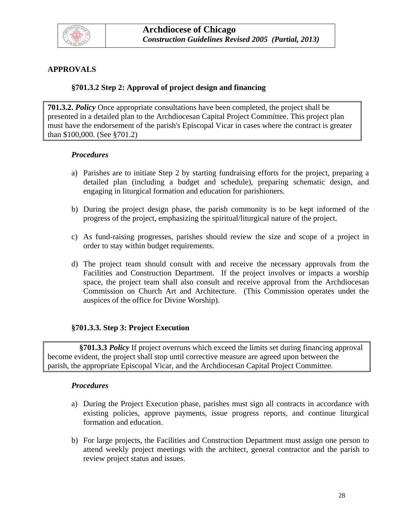<span id="page-27-0"></span>

## **APPROVALS**

#### **§701.3.2 Step 2: Approval of project design and financing**

**701.3.2.** *Policy* Once appropriate consultations have been completed, the project shall be presented in a detailed plan to the Archdiocesan Capital Project Committee. This project plan must have the endorsement of the parish's Episcopal Vicar in cases where the contract is greater than \$100,000. (See §701.2)

#### *Procedures*

- a) Parishes are to initiate Step 2 by starting fundraising efforts for the project, preparing a detailed plan (including a budget and schedule), preparing schematic design, and engaging in liturgical formation and education for parishioners.
- b) During the project design phase, the parish community is to be kept informed of the progress of the project, emphasizing the spiritual/liturgical nature of the project.
- c) As fund-raising progresses, parishes should review the size and scope of a project in order to stay within budget requirements.
- d) The project team should consult with and receive the necessary approvals from the Facilities and Construction Department. If the project involves or impacts a worship space, the project team shall also consult and receive approval from the Archdiocesan Commission on Church Art and Architecture. (This Commission operates undet the auspices of the office for Divine Worship).

#### **§701.3.3. Step 3: Project Execution**

 **§701.3.3** *Policy* If project overruns which exceed the limits set during financing approval become evident, the project shall stop until corrective measure are agreed upon between the parish, the appropriate Episcopal Vicar, and the Archdiocesan Capital Project Committee.

- a) During the Project Execution phase, parishes must sign all contracts in accordance with existing policies, approve payments, issue progress reports, and continue liturgical formation and education.
- b) For large projects, the Facilities and Construction Department must assign one person to attend weekly project meetings with the architect, general contractor and the parish to review project status and issues.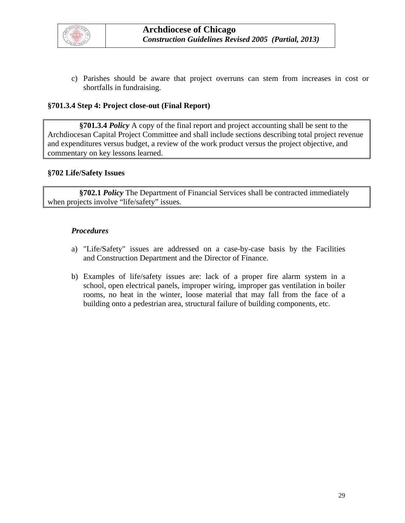

c) Parishes should be aware that project overruns can stem from increases in cost or shortfalls in fundraising.

#### **§701.3.4 Step 4: Project close-out (Final Report)**

 **§701.3.4** *Policy* A copy of the final report and project accounting shall be sent to the Archdiocesan Capital Project Committee and shall include sections describing total project revenue and expenditures versus budget, a review of the work product versus the project objective, and commentary on key lessons learned.

#### **§702 Life/Safety Issues**

 **§702.1** *Policy* The Department of Financial Services shall be contracted immediately when projects involve "life/safety" issues.

- a) "Life/Safety" issues are addressed on a case-by-case basis by the Facilities and Construction Department and the Director of Finance.
- b) Examples of life/safety issues are: lack of a proper fire alarm system in a school, open electrical panels, improper wiring, improper gas ventilation in boiler rooms, no heat in the winter, loose material that may fall from the face of a building onto a pedestrian area, structural failure of building components, etc.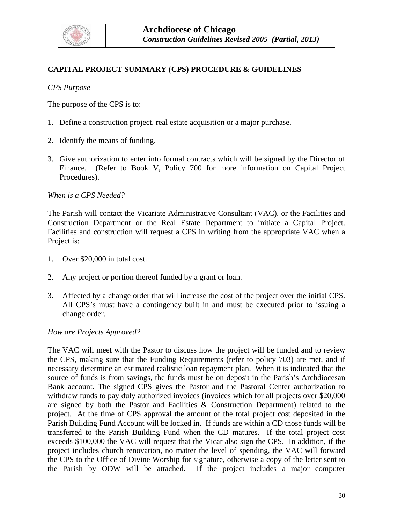<span id="page-29-0"></span>

## **CAPITAL PROJECT SUMMARY (CPS) PROCEDURE & GUIDELINES**

#### *CPS Purpose*

The purpose of the CPS is to:

- 1. Define a construction project, real estate acquisition or a major purchase.
- 2. Identify the means of funding.
- 3. Give authorization to enter into formal contracts which will be signed by the Director of Finance. (Refer to Book V, Policy 700 for more information on Capital Project Procedures).

#### *When is a CPS Needed?*

The Parish will contact the Vicariate Administrative Consultant (VAC), or the Facilities and Construction Department or the Real Estate Department to initiate a Capital Project. Facilities and construction will request a CPS in writing from the appropriate VAC when a Project is:

- 1. Over \$20,000 in total cost.
- 2. Any project or portion thereof funded by a grant or loan.
- 3. Affected by a change order that will increase the cost of the project over the initial CPS. All CPS's must have a contingency built in and must be executed prior to issuing a change order.

#### *How are Projects Approved?*

The VAC will meet with the Pastor to discuss how the project will be funded and to review the CPS, making sure that the Funding Requirements (refer to policy 703) are met, and if necessary determine an estimated realistic loan repayment plan. When it is indicated that the source of funds is from savings, the funds must be on deposit in the Parish's Archdiocesan Bank account. The signed CPS gives the Pastor and the Pastoral Center authorization to withdraw funds to pay duly authorized invoices (invoices which for all projects over \$20,000 are signed by both the Pastor and Facilities & Construction Department) related to the project. At the time of CPS approval the amount of the total project cost deposited in the Parish Building Fund Account will be locked in. If funds are within a CD those funds will be transferred to the Parish Building Fund when the CD matures. If the total project cost exceeds \$100,000 the VAC will request that the Vicar also sign the CPS. In addition, if the project includes church renovation, no matter the level of spending, the VAC will forward the CPS to the Office of Divine Worship for signature, otherwise a copy of the letter sent to the Parish by ODW will be attached. If the project includes a major computer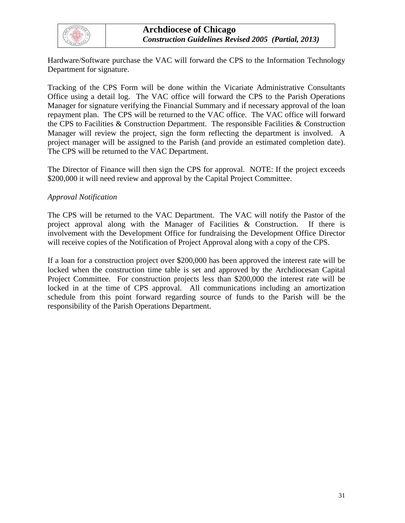

Hardware/Software purchase the VAC will forward the CPS to the Information Technology Department for signature.

Tracking of the CPS Form will be done within the Vicariate Administrative Consultants Office using a detail log. The VAC office will forward the CPS to the Parish Operations Manager for signature verifying the Financial Summary and if necessary approval of the loan repayment plan. The CPS will be returned to the VAC office. The VAC office will forward the CPS to Facilities & Construction Department. The responsible Facilities & Construction Manager will review the project, sign the form reflecting the department is involved. A project manager will be assigned to the Parish (and provide an estimated completion date). The CPS will be returned to the VAC Department.

The Director of Finance will then sign the CPS for approval. NOTE: If the project exceeds \$200,000 it will need review and approval by the Capital Project Committee.

#### *Approval Notification*

The CPS will be returned to the VAC Department. The VAC will notify the Pastor of the project approval along with the Manager of Facilities & Construction. If there is involvement with the Development Office for fundraising the Development Office Director will receive copies of the Notification of Project Approval along with a copy of the CPS.

If a loan for a construction project over \$200,000 has been approved the interest rate will be locked when the construction time table is set and approved by the Archdiocesan Capital Project Committee. For construction projects less than \$200,000 the interest rate will be locked in at the time of CPS approval. All communications including an amortization schedule from this point forward regarding source of funds to the Parish will be the responsibility of the Parish Operations Department.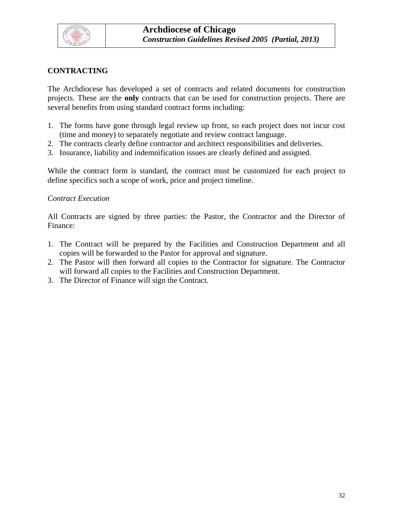<span id="page-31-0"></span>

## **CONTRACTING**

The Archdiocese has developed a set of contracts and related documents for construction projects. These are the **only** contracts that can be used for construction projects. There are several benefits from using standard contract forms including:

- 1. The forms have gone through legal review up front, so each project does not incur cost (time and money) to separately negotiate and review contract language.
- 2. The contracts clearly define contractor and architect responsibilities and deliveries.
- 3. Insurance, liability and indemnification issues are clearly defined and assigned.

While the contract form is standard, the contract must be customized for each project to define specifics such a scope of work, price and project timeline.

#### *Contract Execution*

All Contracts are signed by three parties: the Pastor, the Contractor and the Director of Finance:

- 1. The Contract will be prepared by the Facilities and Construction Department and all copies will be forwarded to the Pastor for approval and signature.
- 2. The Pastor will then forward all copies to the Contractor for signature. The Contractor will forward all copies to the Facilities and Construction Department.
- 3. The Director of Finance will sign the Contract.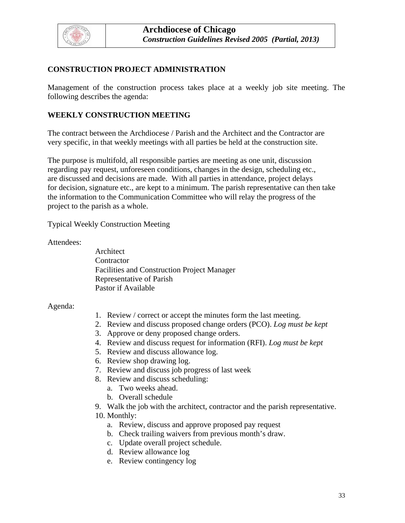<span id="page-32-0"></span>

## **CONSTRUCTION PROJECT ADMINISTRATION**

Management of the construction process takes place at a weekly job site meeting. The following describes the agenda:

## **WEEKLY CONSTRUCTION MEETING**

The contract between the Archdiocese / Parish and the Architect and the Contractor are very specific, in that weekly meetings with all parties be held at the construction site.

The purpose is multifold, all responsible parties are meeting as one unit, discussion regarding pay request, unforeseen conditions, changes in the design, scheduling etc., are discussed and decisions are made. With all parties in attendance, project delays for decision, signature etc., are kept to a minimum. The parish representative can then take the information to the Communication Committee who will relay the progress of the project to the parish as a whole.

Typical Weekly Construction Meeting

Attendees:

 Architect **Contractor**  Facilities and Construction Project Manager Representative of Parish Pastor if Available

#### Agenda:

- 1. Review / correct or accept the minutes form the last meeting.
- 2. Review and discuss proposed change orders (PCO). *Log must be kept*
- 3. Approve or deny proposed change orders.
- 4. Review and discuss request for information (RFI). *Log must be kept*
- 5. Review and discuss allowance log.
- 6. Review shop drawing log.
- 7. Review and discuss job progress of last week
- 8. Review and discuss scheduling:
	- a. Two weeks ahead.
	- b. Overall schedule
- 9. Walk the job with the architect, contractor and the parish representative.
- 10. Monthly:
	- a. Review, discuss and approve proposed pay request
	- b. Check trailing waivers from previous month's draw.
	- c. Update overall project schedule.
	- d. Review allowance log
	- e. Review contingency log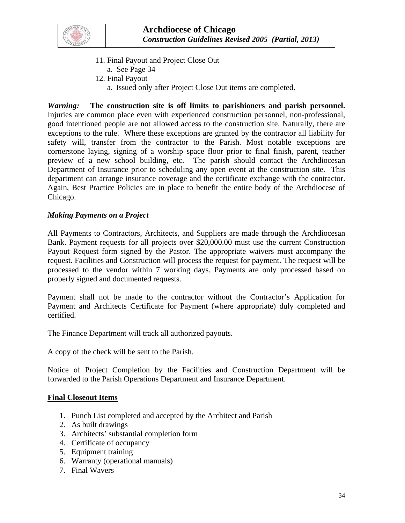

- 11. Final Payout and Project Close Out a. See Page 34
- 12. Final Payout
	- a. Issued only after Project Close Out items are completed.

*Warning:* **The construction site is off limits to parishioners and parish personnel.** Injuries are common place even with experienced construction personnel, non-professional, good intentioned people are not allowed access to the construction site. Naturally, there are exceptions to the rule. Where these exceptions are granted by the contractor all liability for safety will, transfer from the contractor to the Parish. Most notable exceptions are cornerstone laying, signing of a worship space floor prior to final finish, parent, teacher preview of a new school building, etc. The parish should contact the Archdiocesan Department of Insurance prior to scheduling any open event at the construction site. This department can arrange insurance coverage and the certificate exchange with the contractor. Again, Best Practice Policies are in place to benefit the entire body of the Archdiocese of Chicago.

## *Making Payments on a Project*

All Payments to Contractors, Architects, and Suppliers are made through the Archdiocesan Bank. Payment requests for all projects over \$20,000.00 must use the current Construction Payout Request form signed by the Pastor. The appropriate waivers must accompany the request. Facilities and Construction will process the request for payment. The request will be processed to the vendor within 7 working days. Payments are only processed based on properly signed and documented requests.

Payment shall not be made to the contractor without the Contractor's Application for Payment and Architects Certificate for Payment (where appropriate) duly completed and certified.

The Finance Department will track all authorized payouts.

A copy of the check will be sent to the Parish.

Notice of Project Completion by the Facilities and Construction Department will be forwarded to the Parish Operations Department and Insurance Department.

#### **Final Closeout Items**

- 1. Punch List completed and accepted by the Architect and Parish
- 2. As built drawings
- 3. Architects' substantial completion form
- 4. Certificate of occupancy
- 5. Equipment training
- 6. Warranty (operational manuals)
- 7. Final Wavers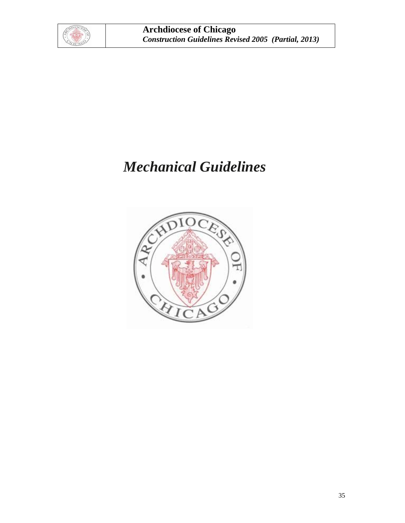

# *Mechanical Guidelines*

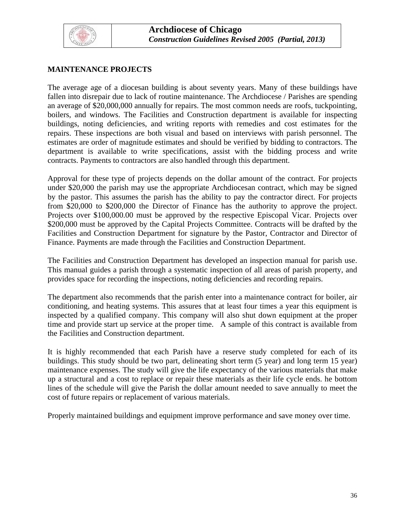<span id="page-35-0"></span>

## **MAINTENANCE PROJECTS**

The average age of a diocesan building is about seventy years. Many of these buildings have fallen into disrepair due to lack of routine maintenance. The Archdiocese / Parishes are spending an average of \$20,000,000 annually for repairs. The most common needs are roofs, tuckpointing, boilers, and windows. The Facilities and Construction department is available for inspecting buildings, noting deficiencies, and writing reports with remedies and cost estimates for the repairs. These inspections are both visual and based on interviews with parish personnel. The estimates are order of magnitude estimates and should be verified by bidding to contractors. The department is available to write specifications, assist with the bidding process and write contracts. Payments to contractors are also handled through this department.

Approval for these type of projects depends on the dollar amount of the contract. For projects under \$20,000 the parish may use the appropriate Archdiocesan contract, which may be signed by the pastor. This assumes the parish has the ability to pay the contractor direct. For projects from \$20,000 to \$200,000 the Director of Finance has the authority to approve the project. Projects over \$100,000.00 must be approved by the respective Episcopal Vicar. Projects over \$200,000 must be approved by the Capital Projects Committee. Contracts will be drafted by the Facilities and Construction Department for signature by the Pastor, Contractor and Director of Finance. Payments are made through the Facilities and Construction Department.

The Facilities and Construction Department has developed an inspection manual for parish use. This manual guides a parish through a systematic inspection of all areas of parish property, and provides space for recording the inspections, noting deficiencies and recording repairs.

The department also recommends that the parish enter into a maintenance contract for boiler, air conditioning, and heating systems. This assures that at least four times a year this equipment is inspected by a qualified company. This company will also shut down equipment at the proper time and provide start up service at the proper time. A sample of this contract is available from the Facilities and Construction department.

It is highly recommended that each Parish have a reserve study completed for each of its buildings. This study should be two part, delineating short term (5 year) and long term 15 year) maintenance expenses. The study will give the life expectancy of the various materials that make up a structural and a cost to replace or repair these materials as their life cycle ends. he bottom lines of the schedule will give the Parish the dollar amount needed to save annually to meet the cost of future repairs or replacement of various materials.

Properly maintained buildings and equipment improve performance and save money over time.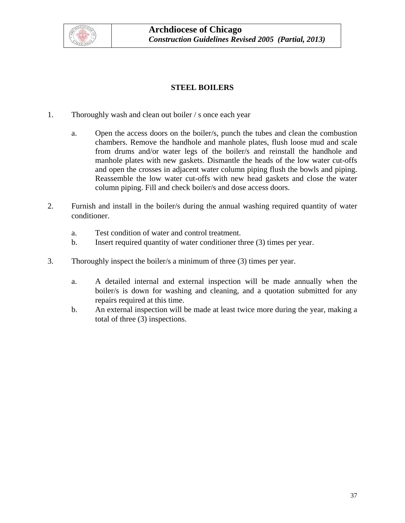

## **STEEL BOILERS**

- 1. Thoroughly wash and clean out boiler / s once each year
	- a. Open the access doors on the boiler/s, punch the tubes and clean the combustion chambers. Remove the handhole and manhole plates, flush loose mud and scale from drums and/or water legs of the boiler/s and reinstall the handhole and manhole plates with new gaskets. Dismantle the heads of the low water cut-offs and open the crosses in adjacent water column piping flush the bowls and piping. Reassemble the low water cut-offs with new head gaskets and close the water column piping. Fill and check boiler/s and dose access doors.
- 2. Furnish and install in the boiler/s during the annual washing required quantity of water conditioner.
	- a. Test condition of water and control treatment.
	- b. Insert required quantity of water conditioner three (3) times per year.
- 3. Thoroughly inspect the boiler/s a minimum of three (3) times per year.
	- a. A detailed internal and external inspection will be made annually when the boiler/s is down for washing and cleaning, and a quotation submitted for any repairs required at this time.
	- b. An external inspection will be made at least twice more during the year, making a total of three (3) inspections.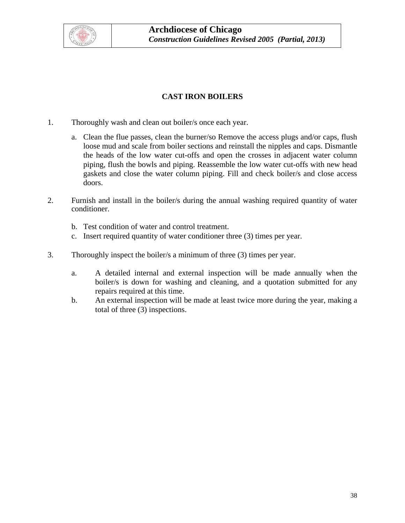

## **CAST IRON BOILERS**

- 1. Thoroughly wash and clean out boiler/s once each year.
	- a. Clean the flue passes, clean the burner/so Remove the access plugs and/or caps, flush loose mud and scale from boiler sections and reinstall the nipples and caps. Dismantle the heads of the low water cut-offs and open the crosses in adjacent water column piping, flush the bowls and piping. Reassemble the low water cut-offs with new head gaskets and close the water column piping. Fill and check boiler/s and close access doors.
- 2. Furnish and install in the boiler/s during the annual washing required quantity of water conditioner.
	- b. Test condition of water and control treatment.
	- c. Insert required quantity of water conditioner three (3) times per year.
- 3. Thoroughly inspect the boiler/s a minimum of three (3) times per year.
	- a. A detailed internal and external inspection will be made annually when the boiler/s is down for washing and cleaning, and a quotation submitted for any repairs required at this time.
	- b. An external inspection will be made at least twice more during the year, making a total of three (3) inspections.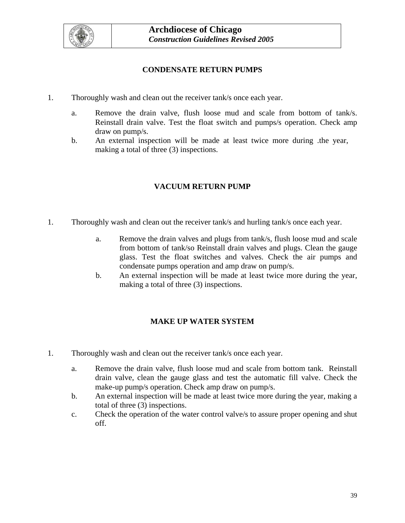

## **CONDENSATE RETURN PUMPS**

- 1. Thoroughly wash and clean out the receiver tank/s once each year.
	- a. Remove the drain valve, flush loose mud and scale from bottom of tank/s. Reinstall drain valve. Test the float switch and pumps/s operation. Check amp draw on pump/s.
	- b. An external inspection will be made at least twice more during .the year, making a total of three (3) inspections.

## **VACUUM RETURN PUMP**

- 1. Thoroughly wash and clean out the receiver tank/s and hurling tank/s once each year.
	- a. Remove the drain valves and plugs from tank/s, flush loose mud and scale from bottom of tank/so Reinstall drain valves and plugs. Clean the gauge glass. Test the float switches and valves. Check the air pumps and condensate pumps operation and amp draw on pump/s.
	- b. An external inspection will be made at least twice more during the year, making a total of three (3) inspections.

## **MAKE UP WATER SYSTEM**

- 1. Thoroughly wash and clean out the receiver tank/s once each year.
	- a. Remove the drain valve, flush loose mud and scale from bottom tank. Reinstall drain valve, clean the gauge glass and test the automatic fill valve. Check the make-up pump/s operation. Check amp draw on pump/s.
	- b. An external inspection will be made at least twice more during the year, making a total of three (3) inspections.
	- c. Check the operation of the water control valve/s to assure proper opening and shut off.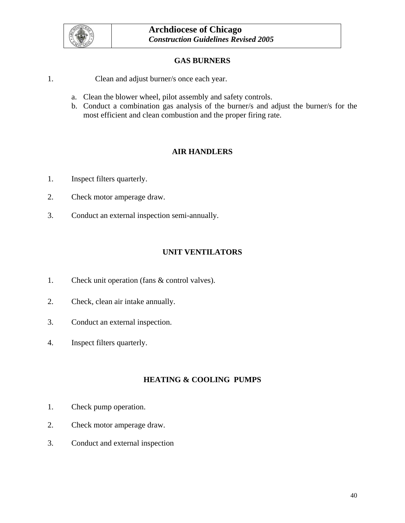

## **GAS BURNERS**

- 1. Clean and adjust burner/s once each year.
	- a. Clean the blower wheel, pilot assembly and safety controls.
	- b. Conduct a combination gas analysis of the burner/s and adjust the burner/s for the most efficient and clean combustion and the proper firing rate.

## **AIR HANDLERS**

- 1. Inspect filters quarterly.
- 2. Check motor amperage draw.
- 3. Conduct an external inspection semi-annually.

## **UNIT VENTILATORS**

- 1. Check unit operation (fans & control valves).
- 2. Check, clean air intake annually.
- 3. Conduct an external inspection.
- 4. Inspect filters quarterly.

## **HEATING & COOLING PUMPS**

- 1. Check pump operation.
- 2. Check motor amperage draw.
- 3. Conduct and external inspection